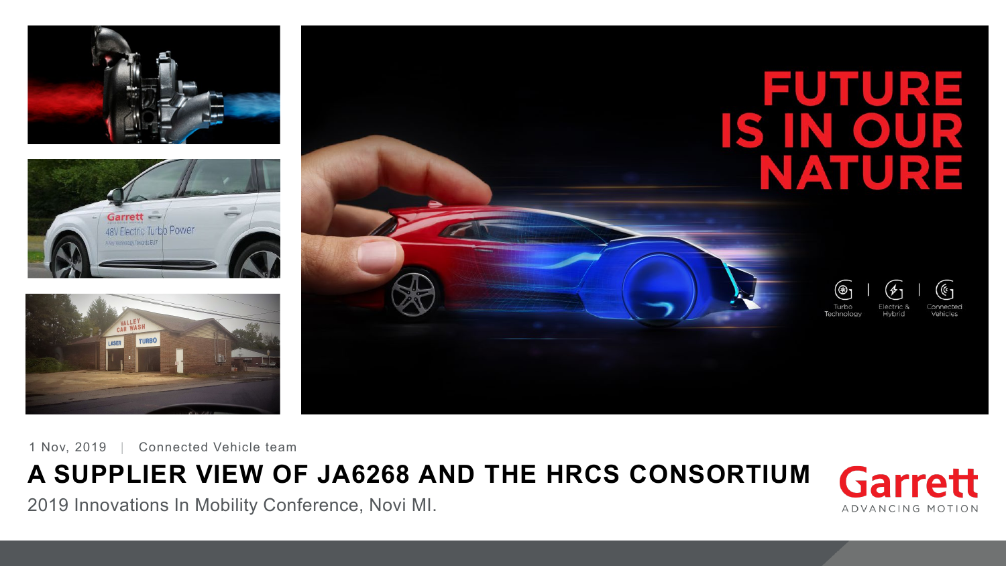





FUTURE IS IN OUR NATURE  $(\mathbb{G}% _{\ell})_{\ell}$ (⊛∙  $(\cancel{\phi})$ Electric 8 Hybrid Vehicles Technology

1 Nov, 2019 | Connected Vehicle team

## **A SUPPLIER VIEW OF JA6268 AND THE HRCS CONSORTIUM**

2019 Innovations In Mobility Conference, Novi MI.

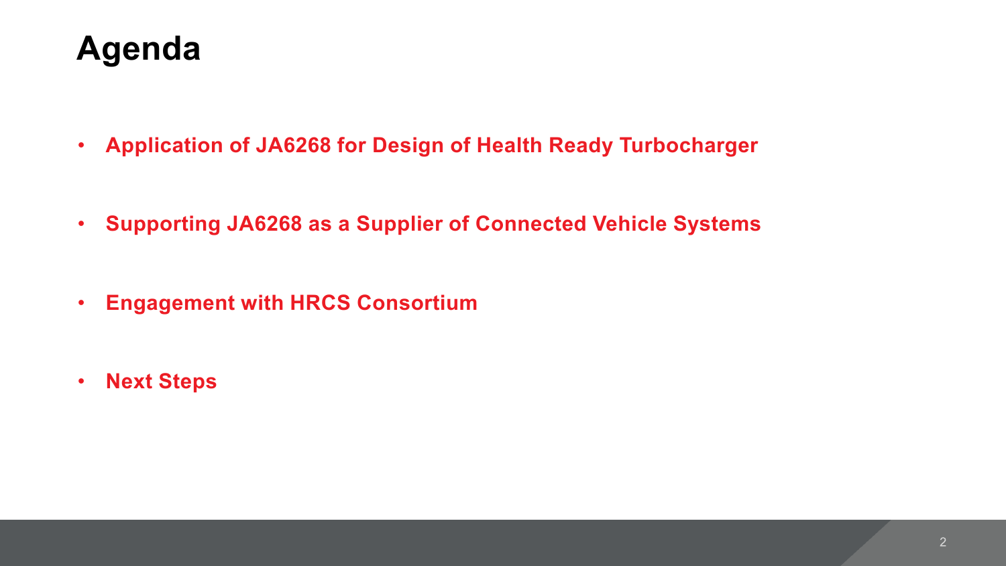# **Agenda**

- **Application of JA6268 for Design of Health Ready Turbocharger**
- **Supporting JA6268 as a Supplier of Connected Vehicle Systems**
- **Engagement with HRCS Consortium**
- **Next Steps**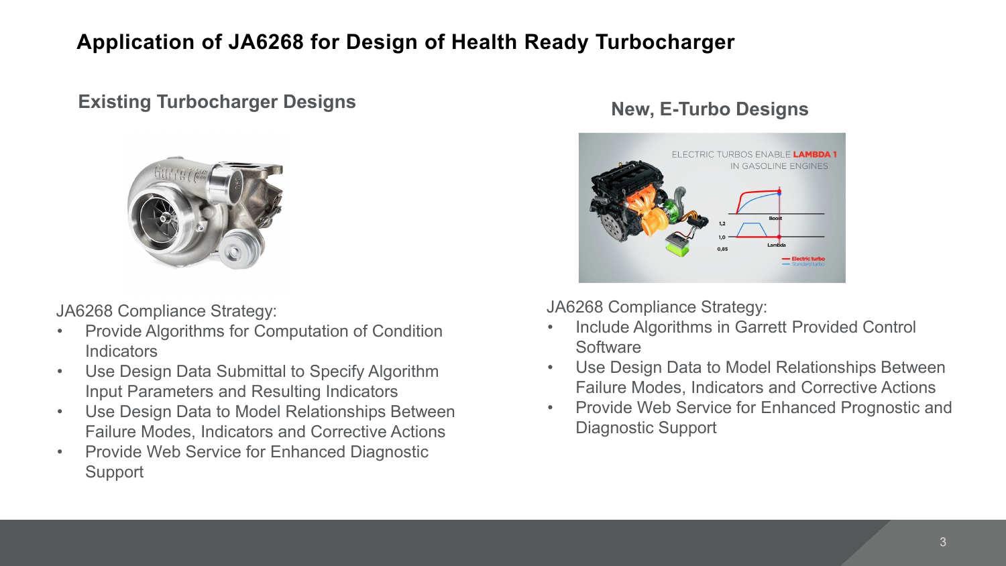#### **Application of JA6268 for Design of Health Ready Turbocharger**

#### **Existing Turbocharger Designs New, E-Turbo Designs**



JA6268 Compliance Strategy:

- Provide Algorithms for Computation of Condition **Indicators**
- Use Design Data Submittal to Specify Algorithm Input Parameters and Resulting Indicators
- Use Design Data to Model Relationships Between Failure Modes, Indicators and Corrective Actions
- Provide Web Service for Enhanced Diagnostic **Support**



JA6268 Compliance Strategy:

- Include Algorithms in Garrett Provided Control **Software**
- Use Design Data to Model Relationships Between Failure Modes, Indicators and Corrective Actions
- Provide Web Service for Enhanced Prognostic and Diagnostic Support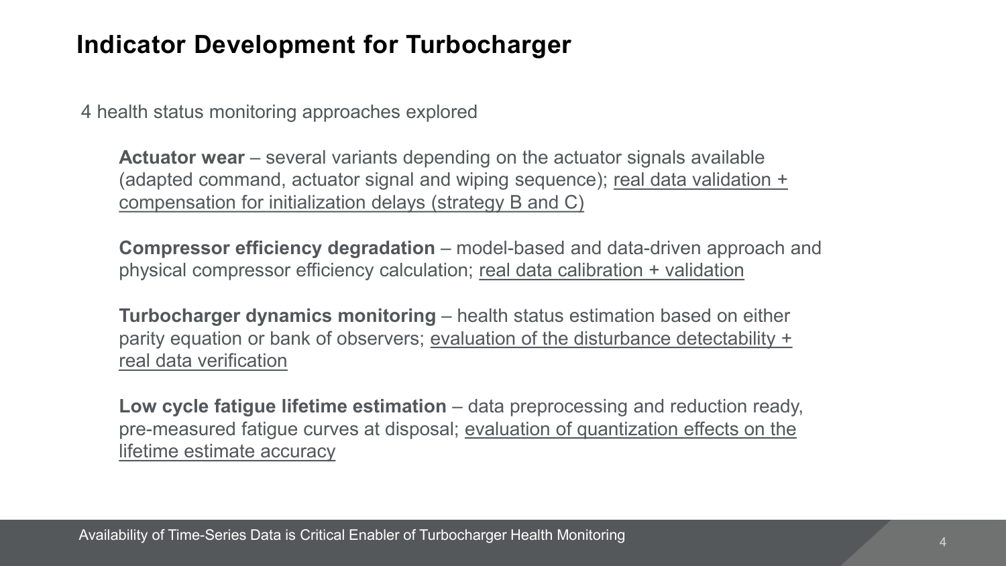#### **Indicator Development for Turbocharger**

4 health status monitoring approaches explored

**Actuator wear** – several variants depending on the actuator signals available (adapted command, actuator signal and wiping sequence); real data validation + compensation for initialization delays (strategy B and C)

**Compressor efficiency degradation** – model-based and data-driven approach and physical compressor efficiency calculation; real data calibration + validation

**Turbocharger dynamics monitoring** – health status estimation based on either parity equation or bank of observers; evaluation of the disturbance detectability + real data verification

**Low cycle fatigue lifetime estimation** – data preprocessing and reduction ready, pre-measured fatigue curves at disposal; evaluation of quantization effects on the lifetime estimate accuracy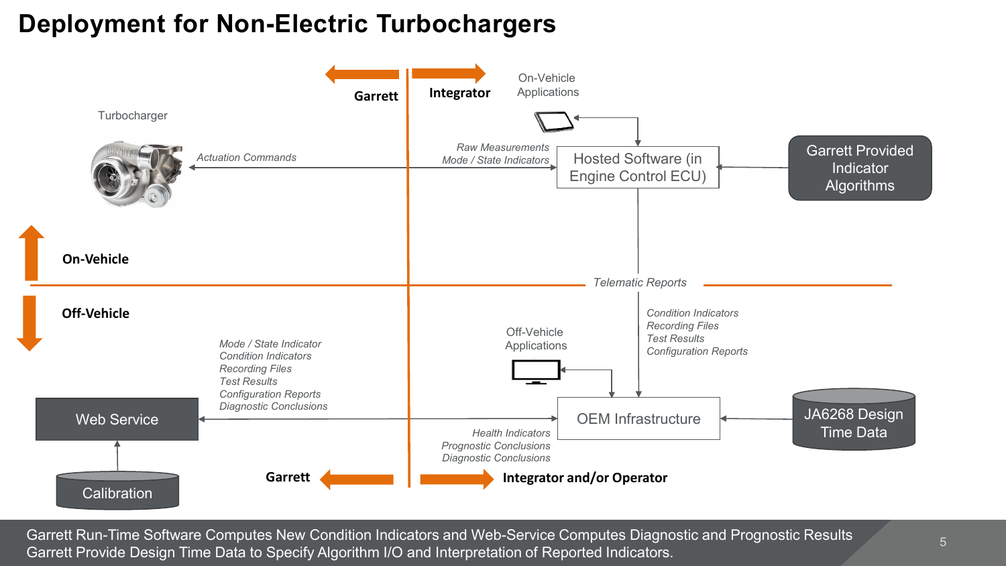#### **Deployment for Non-Electric Turbochargers**



Garrett Run-Time Software Computes New Condition Indicators and Web-Service Computes Diagnostic and Prognostic Results Garrett Provide Design Time Data to Specify Algorithm I/O and Interpretation of Reported Indicators.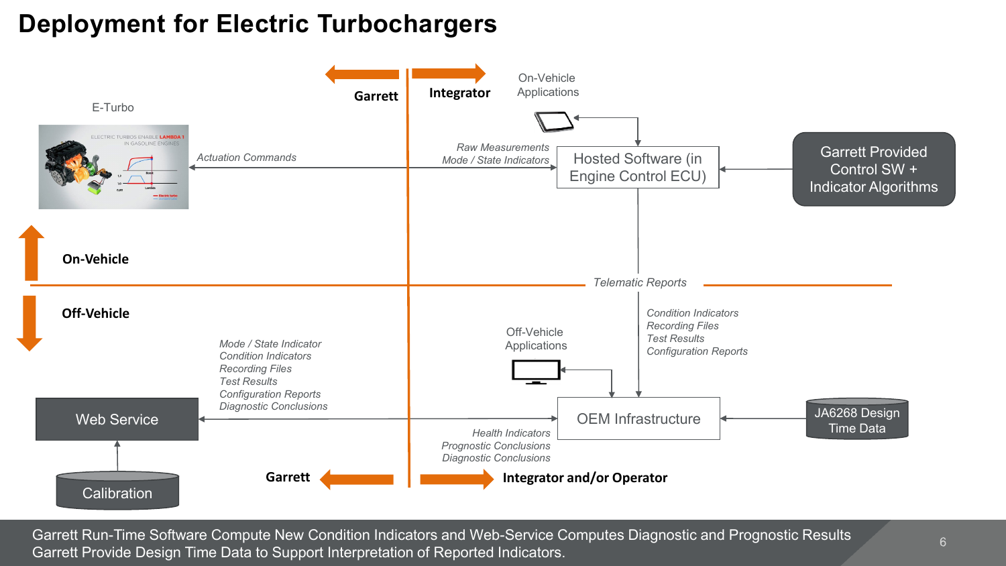#### **Deployment for Electric Turbochargers**



Garrett Run-Time Software Compute New Condition Indicators and Web-Service Computes Diagnostic and Prognostic Results Garrett Provide Design Time Data to Support Interpretation of Reported Indicators.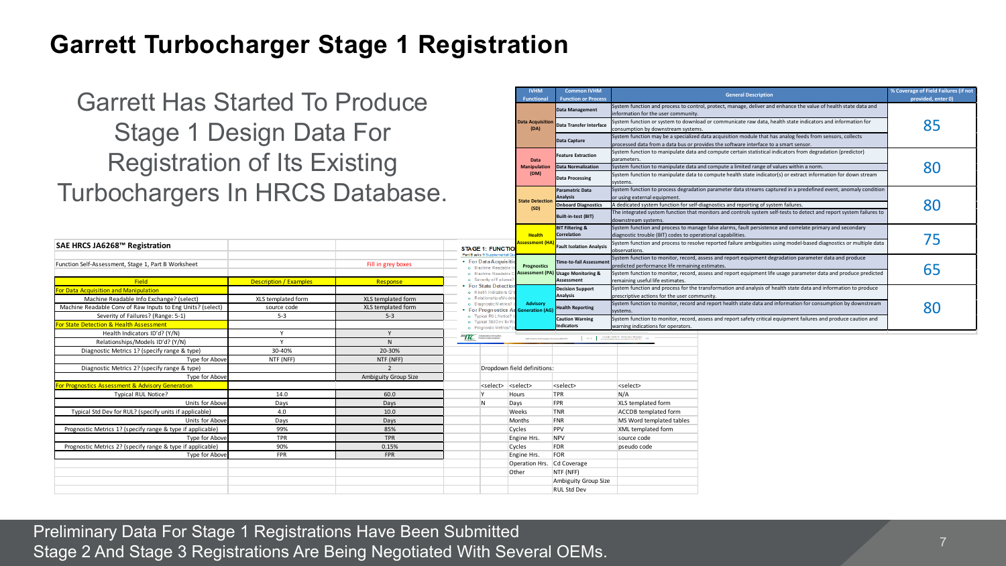#### **Garrett Turbocharger Stage 1 Registration**

#### Garrett Has Started To Produce Stage 1 Design Data For Registration of Its Existing Turbochargers In HRCS Database.

|                                                            |                               |                      |                                                              |                             |                                               | Idownstream systems.                                                                                               |                                                                                                                 |    |
|------------------------------------------------------------|-------------------------------|----------------------|--------------------------------------------------------------|-----------------------------|-----------------------------------------------|--------------------------------------------------------------------------------------------------------------------|-----------------------------------------------------------------------------------------------------------------|----|
|                                                            |                               |                      |                                                              |                             | <b>BIT Filtering &amp;</b>                    |                                                                                                                    | System function and process to manage false alarms, fault persistence and correlate primary and secondary       |    |
|                                                            |                               |                      |                                                              | <b>Health</b>               | Correlation                                   | diagnostic trouble (BIT) codes to operational capabilities.                                                        |                                                                                                                 | 75 |
| SAE HRCS JA6268™ Registration                              |                               |                      | <b>STAGE 1: FUNCTION</b>                                     | ssessment (F                | <b>Fault Isolation Analysis</b>               | System function and process to resolve reported failure ambiguities using model-based diagnostics or multiple data |                                                                                                                 |    |
|                                                            |                               |                      | Part B asks 9 Supplemental Q                                 |                             |                                               | observations.                                                                                                      |                                                                                                                 |    |
| Function Self-Assessment, Stage 1, Part B Worksheet        |                               | Fill in grey boxes   | • For Data Acquisitio                                        | Prognostics                 | Time-to-fail Assessme                         | predicted performance life remaining estimates.                                                                    | System function to monitor, record, assess and report equipment degradation parameter data and produce          |    |
|                                                            |                               |                      | o Machine Readable<br>o Machine Readable                     |                             | <b>Assessment (PA) Usage Monitoring &amp;</b> |                                                                                                                    | System function to monitor, record, assess and report equipment life usage parameter data and produce predicted | 65 |
| <b>Field</b>                                               | <b>Description / Examples</b> | Response             | o Severity of Failures?                                      |                             | <b>Assessment</b>                             | remaining useful life estimates.                                                                                   |                                                                                                                 |    |
| or Data Acquisition and Manipulation                       |                               |                      | • For State Detectio<br>o Health Indicators ID'              |                             | <b>Decision Support</b>                       |                                                                                                                    | System function and process for the transformation and analysis of health state data and information to produce |    |
| Machine Readable Info Exchange? (select)                   | XLS templated form            | XLS templated form   | o Relationships/Models                                       |                             | Analysis                                      | prescriptive actions for the user community.                                                                       |                                                                                                                 |    |
| Machine Readable Conv of Raw Inputs to Eng Units? (select) | source code                   | XLS templated form   | o Diagnostic Metrics? (<br>For Prognostics As Generation (AG | Advisory                    | <b>Health Reporting</b>                       | systems.                                                                                                           | System function to monitor, record and report health state data and information for consumption by downstream   | 80 |
| Severity of Failures? (Range: 5-1)                         | $5 - 3$                       | $5 - 3$              | o Typical RUL Notice?                                        |                             | <b>Caution Warning</b><br>Indicators          | System function to monitor, record, assess and report safety critical equipment failures and produce caution and   |                                                                                                                 |    |
| For State Detection & Health Assessment                    |                               |                      | o Typical Std Dev for RI<br>o Prognostic Metrics?            |                             |                                               | warning indications for operators.                                                                                 |                                                                                                                 |    |
| Health Indicators ID'd? (Y/N)                              |                               |                      | SAE TC Coluborative innovation                               |                             |                                               | (a) (a) Copyright DSAETE, Rather use or distribution<br>and the Copyright DSAETE, Rather use of addition (C) 24    |                                                                                                                 |    |
| Relationships/Models ID'd? (Y/N)                           |                               |                      |                                                              |                             | SAE Industry Technologies Consortia (SAE) 70) |                                                                                                                    |                                                                                                                 |    |
| Diagnostic Metrics 1? (specify range & type)               | 30-40%                        | 20-30%               |                                                              |                             |                                               |                                                                                                                    |                                                                                                                 |    |
| Type for Above                                             | NTF (NFF)                     | NTF (NFF)            |                                                              |                             |                                               |                                                                                                                    |                                                                                                                 |    |
| Diagnostic Metrics 2? (specify range & type)               |                               |                      |                                                              | Dropdown field definitions: |                                               |                                                                                                                    |                                                                                                                 |    |
| Type for Above                                             |                               | Ambiguity Group Size |                                                              |                             |                                               |                                                                                                                    |                                                                                                                 |    |
| For Prognostics Assessment & Advisory Generation           |                               |                      | <select></select>                                            | <select></select>           | <select></select>                             | <select></select>                                                                                                  |                                                                                                                 |    |
| <b>Typical RUL Notice?</b>                                 | 14.0                          | 60.0                 |                                                              | Hours                       | <b>TPR</b>                                    | N/A                                                                                                                |                                                                                                                 |    |
| Units for Above                                            | Days                          | Days                 | N                                                            | Days                        | FPR                                           | XLS templated form                                                                                                 |                                                                                                                 |    |
| Typical Std Dev for RUL? (specify units if applicable)     | 4.0                           | 10.0                 |                                                              | Weeks                       | TNR                                           | <b>ACCDB</b> templated form                                                                                        |                                                                                                                 |    |
| Units for Above                                            | Days                          | Days                 |                                                              | Months                      | FNR                                           | MS Word templated tables                                                                                           |                                                                                                                 |    |
| Prognostic Metrics 1? (specify range & type if applicable) | 99%                           | 85%                  |                                                              | Cycles                      | PPV                                           | XML templated form                                                                                                 |                                                                                                                 |    |
| Type for Above                                             | <b>TPR</b>                    | <b>TPR</b>           |                                                              | Engine Hrs.                 | NPV                                           | source code                                                                                                        |                                                                                                                 |    |
| Prognostic Metrics 2? (specify range & type if applicable) | 90%                           | 0.15%                |                                                              | Cycles                      | FDR                                           | pseudo code                                                                                                        |                                                                                                                 |    |
| Type for Above                                             | <b>FPR</b>                    | FPR                  |                                                              | Engine Hrs.                 | FOR                                           |                                                                                                                    |                                                                                                                 |    |
|                                                            |                               |                      |                                                              |                             | Operation Hrs. Cd Coverage                    |                                                                                                                    |                                                                                                                 |    |
|                                                            |                               |                      |                                                              | Other                       | NTF (NFF)                                     |                                                                                                                    |                                                                                                                 |    |
|                                                            |                               |                      |                                                              |                             | Ambiguity Group Size                          |                                                                                                                    |                                                                                                                 |    |
|                                                            |                               |                      |                                                              |                             | <b>RUL Std Dev</b>                            |                                                                                                                    |                                                                                                                 |    |

Preliminary Data For Stage 1 Registrations Have Been Submitted Stage 2 And Stage 3 Registrations Are Being Negotiated With Several OEMs. **provided, enter 0)**

**Data Management** System function and process to control, protect, manage, deliver and enhance the value of health state data and

**Data Capture** System function may be a specialized data acquisition module that has analog feeds from sensors, collects processed data from a data bus or provides the software interface to a smart sensor. **Feature Extraction** System function to manipulate data and compute certain statistical indicators from degradation (predictor)

Data Normalization System function to manipulate data and compute a limited range of values within a norm.

**Onboard Diagnostics** A dedicated system function for self-diagnostics and reporting of system failures

**Data Transfer Interface** System function or system to download or communicate raw data, health state indicators and information for consumption by downstream systems.

**Function or Process General Description % Coverage of Field Failures (if not** 

**Data Normalization** Bystem function to manipulate data and compute a limited range of values within a norm.<br> **(DM) Buta Processing** System function to manipulate data to compute health state indicator(s) or extract info

**Built-in-test (BIT)** The integrated system function for self-diagnostics and reporting of system failures.<br> **(SD)**<br> **Built-in-test (BIT)** The integrated system function that monitors and controls system self-tests to dete

System function to process degradation parameter data streams captured in a predefined event, anomaly condition

**Information for the user community.** 

parameters.

r using external equipment

systems.

**Parametric Data Analysis**

**Common IVHM** 

**IVHM Functional** 

**Data Acquisition** 

**Data Manipulatio** 

**State Detection** 

imption by downstream systems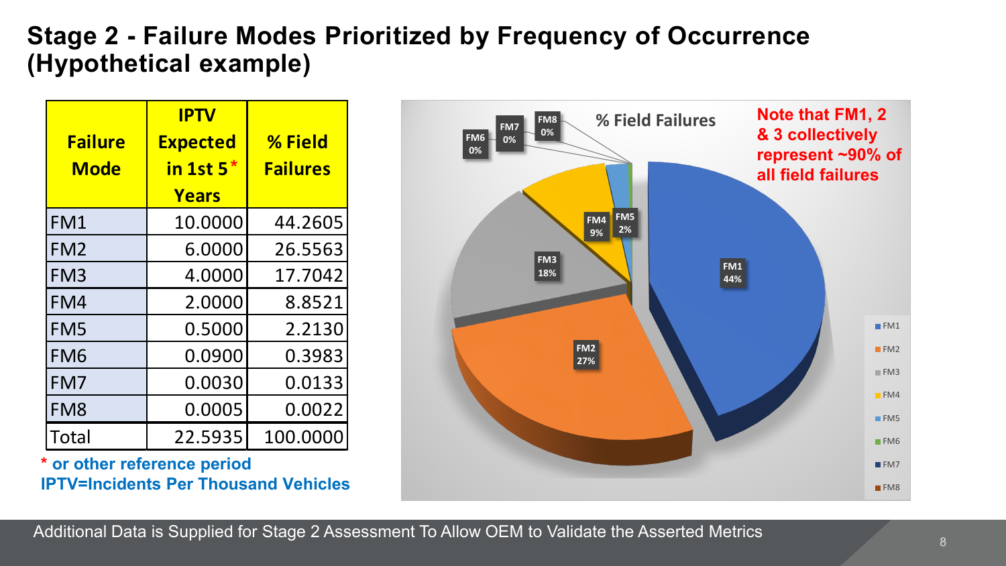#### **Stage 2 - Failure Modes Prioritized by Frequency of Occurrence (Hypothetical example)**

| <b>Failure</b>  | <b>IPTV</b><br><b>Expected</b> | % Field         |
|-----------------|--------------------------------|-----------------|
| <b>Mode</b>     | in 1st $5*$<br>Years           | <b>Failures</b> |
| FM1             | 10.0000                        | 44.2605         |
| FM <sub>2</sub> | 6.0000                         | 26.5563         |
| FM <sub>3</sub> | 4.0000                         | 17.7042         |
| FM4             | 2.0000                         | 8.8521          |
| FM <sub>5</sub> | 0.5000                         | 2.2130          |
| FM <sub>6</sub> | 0.0900                         | 0.3983          |
| FM7             | 0.0030                         | 0.0133          |
| FM <sub>8</sub> | 0.0005                         | 0.0022          |
| Total           | 22.5935                        | 100.0000        |

**\* or other reference period IPTV=Incidents Per Thousand Vehicles**



Additional Data is Supplied for Stage 2 Assessment To Allow OEM to Validate the Asserted Metrics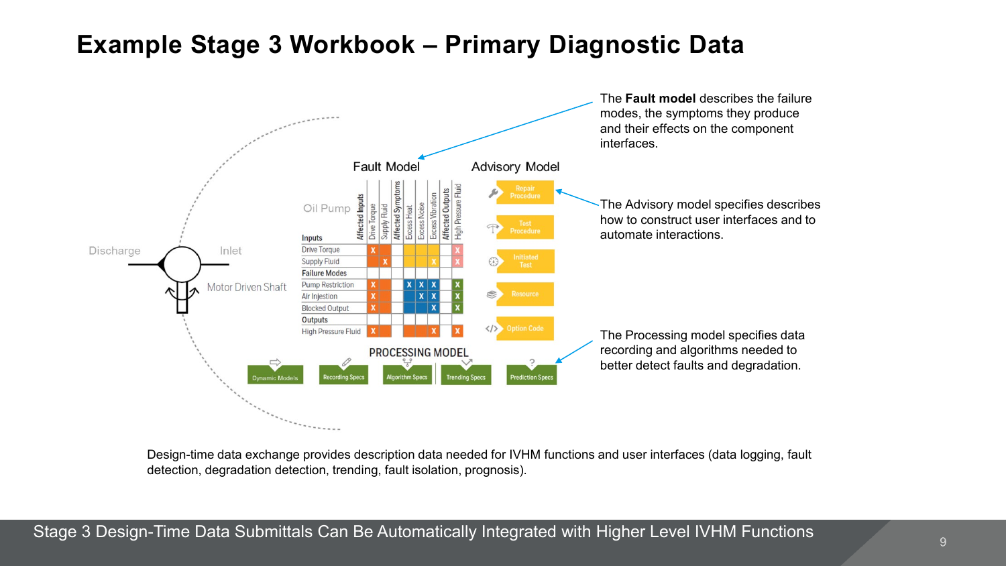#### **Example Stage 3 Workbook – Primary Diagnostic Data**



Design-time data exchange provides description data needed for IVHM functions and user interfaces (data logging, fault detection, degradation detection, trending, fault isolation, prognosis).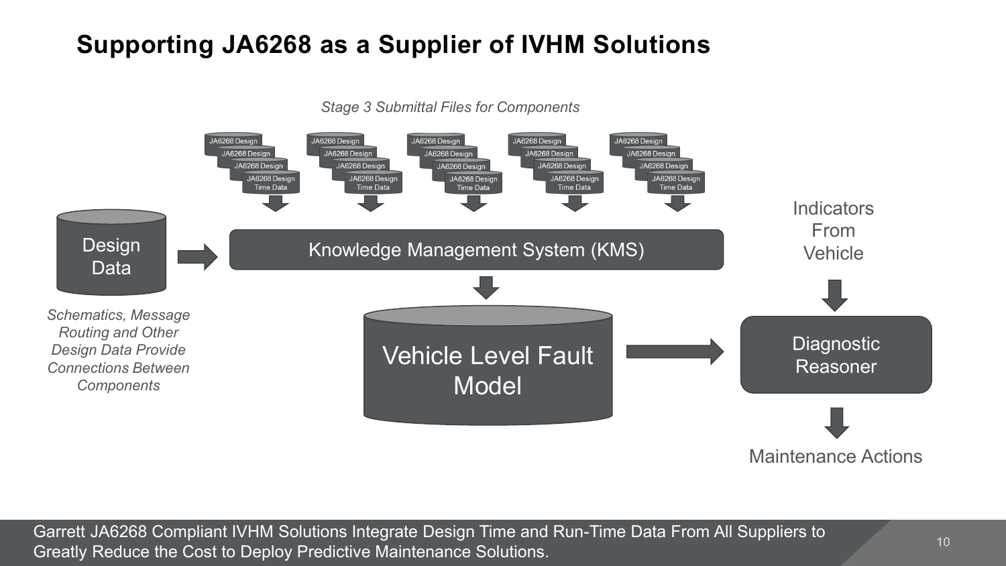## **Supporting JA6268 as a Supplier of IVHM Solutions**

*Stage 3 Submittal Files for Components*



Garrett JA6268 Compliant IVHM Solutions Integrate Design Time and Run-Time Data From All Suppliers to Greatly Reduce the Cost to Deploy Predictive Maintenance Solutions.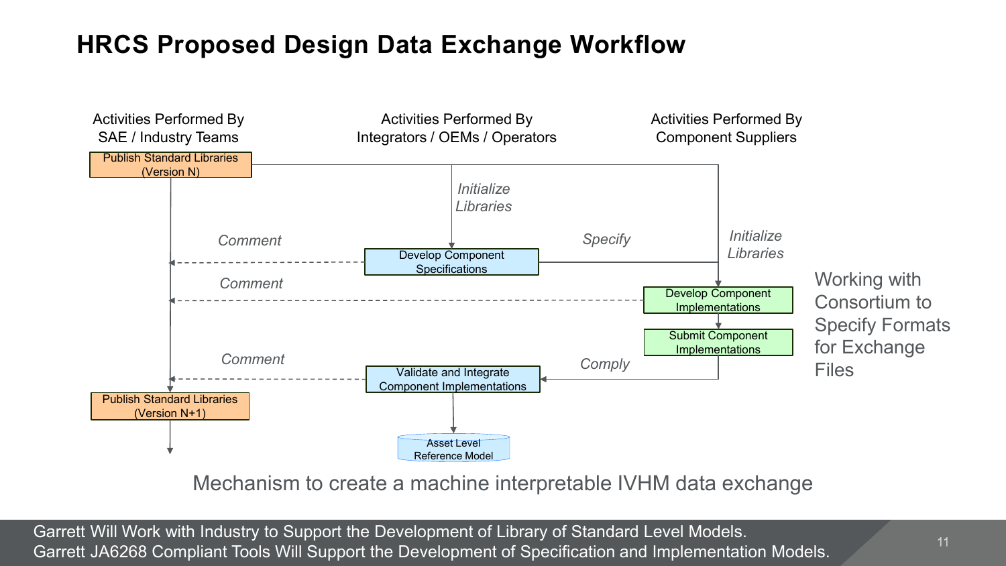#### **HRCS Proposed Design Data Exchange Workflow**



Mechanism to create a machine interpretable IVHM data exchange

Garrett Will Work with Industry to Support the Development of Library of Standard Level Models. Garrett JA6268 Compliant Tools Will Support the Development of Specification and Implementation Models.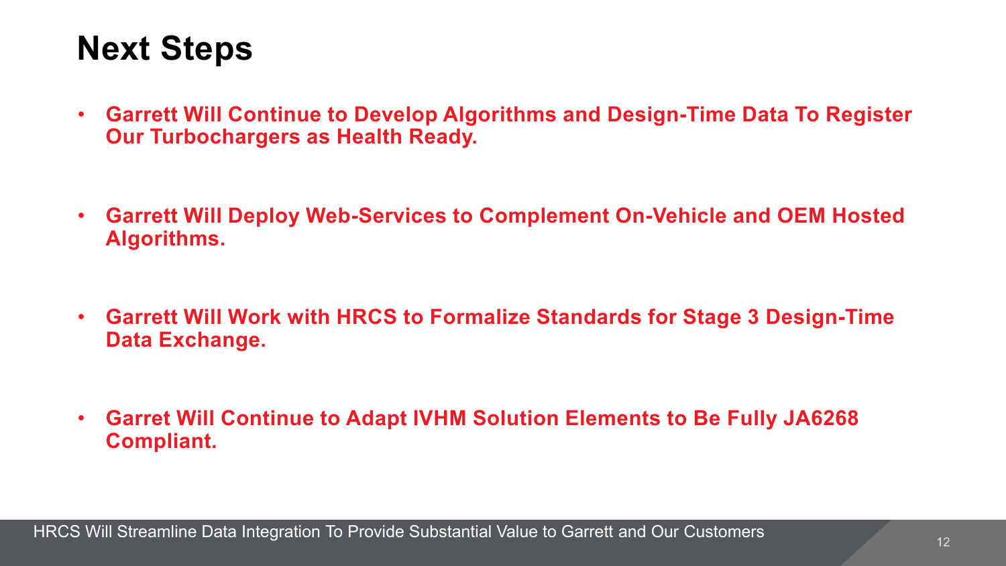# **Next Steps**

- **Garrett Will Continue to Develop Algorithms and Design-Time Data To Register Our Turbochargers as Health Ready.**
- **Garrett Will Deploy Web-Services to Complement On-Vehicle and OEM Hosted Algorithms.**
- **Garrett Will Work with HRCS to Formalize Standards for Stage 3 Design-Time Data Exchange.**
- **Garret Will Continue to Adapt IVHM Solution Elements to Be Fully JA6268 Compliant.**